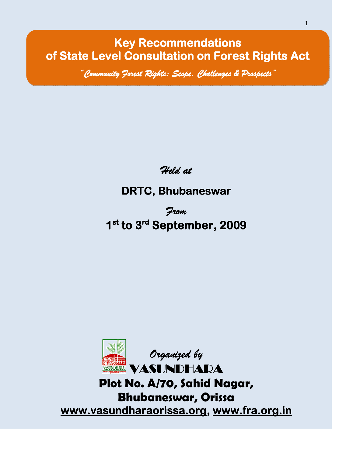Key Recommendations of State Level Consultation on Forest Rights Act

"Community Forest Rights: Scope, Challenges & Prospects"

i<br>I

Held at

# DRTC, Bhubaneswar

From 1<sup>st</sup> to 3<sup>rd</sup> September, 2009

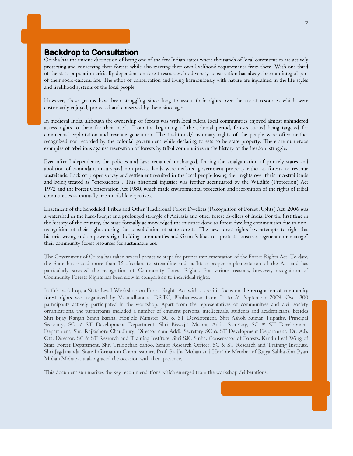# Backdrop to Consultation

I

Odisha has the unique distinction of being one of the few Indian states where thousands of local communities are actively protecting and conserving their forests while also meeting their own livelihood requirements from them. With one third of the state population critically dependent on forest resources, biodiversity conservation has always been an integral part of their socio-cultural life. The ethos of conservation and living harmoniously with nature are ingrained in the life styles and livelihood systems of the local people.

However, these groups have been struggling since long to assert their rights over the forest resources which were customarily enjoyed, protected and conserved by them since ages.

In medieval India, although the ownership of forests was with local rulers, local communities enjoyed almost unhindered access rights to them for their needs. From the beginning of the colonial period, forests started being targeted for commercial exploitation and revenue generation. The traditional/customary rights of the people were often neither recognized nor recorded by the colonial government while declaring forests to be state property. There are numerous examples of rebellions against reservation of forests by tribal communities in the history of the freedom struggle.

Even after Independence, the policies and laws remained unchanged. During the amalgamation of princely states and abolition of zamindari, unsurveyed non-private lands were declared government property either as forests or revenue wastelands. Lack of proper survey and settlement resulted in the local people losing their rights over their ancestral lands and being treated as "encroachers". This historical injustice was further accentuated by the Wildlife (Protection) Act 1972 and the Forest Conservation Act 1980, which made environmental protection and recognition of the rights of tribal communities as mutually irreconcilable objectives.

Enactment of the Scheduled Tribes and Other Traditional Forest Dwellers (Recognition of Forest Rights) Act, 2006 was a watershed in the hard-fought and prolonged struggle of Adivasis and other forest dwellers of India. For the first time in the history of the country, the state formally acknowledged the injustice done to forest dwelling communities due to nonrecognition of their rights during the consolidation of state forests. The new forest rights law attempts to right this historic wrong and empowers right holding communities and Gram Sabhas to "protect, conserve, regenerate or manage" their community forest resources for sustainable use.

The Government of Orissa has taken several proactive steps for proper implementation of the Forest Rights Act. To date, the State has issued more than 15 circulars to streamline and facilitate proper implementation of the Act and has particularly stressed the recognition of Community Forest Rights. For various reasons, however, recognition of Community Forests Rights has been slow in comparison to individual rights.

In this backdrop, a State Level Workshop on Forest Rights Act with a specific focus on the recognition of community forest rights was organized by Vasundhara at DRTC, Bhubaneswar from I<sup>st</sup> to 3<sup>rd</sup> September 2009. Over 300 participants actively participated in the workshop. Apart from the representatives of communities and civil society organizations, the participants included a number of eminent persons, intellectuals, students and academicians. Besides Shri Bijay Ranjan Singh Bariha, Hon'ble Minister, SC & ST Development, Shri Ashok Kumar Tripathy, Principal Secretary, SC & ST Development Department, Shri Biswajit Mishra, Addl. Secretary, SC & ST Development Department, Shri Rajkishore Chaudhury, Director cum Addl. Secretary SC & ST Development Department, Dr. A.B. Ota, Director, SC & ST Research and Training Institute, Shri S.K. Sinha, Conservator of Forests, Kendu Leaf Wing of State Forest Department, Shri Triloochan Sahoo, Senior Research Officer, SC & ST Research and Training Institute, Shri Jagdananda, State Information Commissioner, Prof. Radha Mohan and Hon'ble Member of Rajya Sabha Shri Pyari Mohan Mohapatra also graced the occasion with their presence.

This document summarizes the key recommendations which emerged from the workshop deliberations.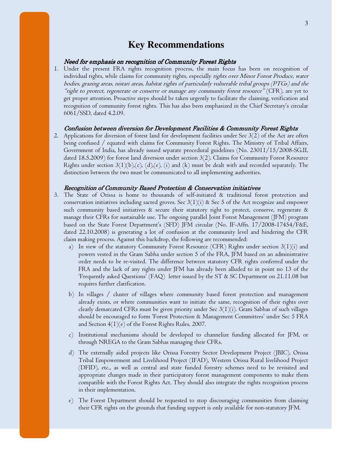# **Key Recommendations**

# Need for emphasis on recognition of Community Forest Rights

1. Under the present FRA rights recognition process, the main focus has been on recognition of individual rights, while claims for community rights, especially rights over Minor Forest Produce, water bodies, grazing areas, nistari areas, habitat rights of particularly vulnerable tribal groups (PTGs) and the "right to protect, regenerate or conserve or manage any community forest resource" (CFR), are yet to get proper attention. Proactive steps should be taken urgently to facilitate the claiming, verification and recognition of community forest rights. This has also been emphasized in the Chief Secretary's circular 6061/SSD, dated 4.2.09.

# Confusion between diversion for Development Facilities & Community Forest Rights

2. Applications for diversion of forest land for development facilities under Sec 3(2) of the Act are often being confused / equated with claims for Community Forest Rights. The Ministry of Tribal Affairs, Government of India, has already issued separate procedural guidelines (No. 23011/15/2008-SG.II, dated 18.5.2009) for forest land diversion under section 3(2). Claims for Community Forest Resource Rights under section  $3(1)(b),(c),(d),(e),(i)$  and  $(k)$  must be dealt with and recorded separately. The distinction between the two must be communicated to all implementing authorities.

# Recognition of Community Based Protection & Conservation initiatives

- 3. The State of Orissa is home to thousands of self-initiated & traditional forest protection and conservation initiatives including sacred groves. Sec  $3(1)(i)$  & Sec 5 of the Act recognize and empower such community based initiatives & secure their statutory right to protect, conserve, regenerate & manage their CFRs for sustainable use. The ongoing parallel Joint Forest Management (JFM) program based on the State Forest Department's (SFD) JFM circular (No. IF-Affn. 17/2008-17454/F&E, dated 22.10.2008) is generating a lot of confusion at the community level and hindering the CFR claim making process. Against this backdrop, the following are recommended:
	- a) In view of the statutory Community Forest Resource (CFR) Rights under section  $3(1)(i)$  and powers vested in the Gram Sabha under section 5 of the FRA, JFM based on an administrative order needs to be re-visited. The difference between statutory CFR rights conferred under the FRA and the lack of any rights under JFM has already been alluded to in point no 13 of the 'Frequently asked Questions' (FAQ) letter issued by the ST & SC Department on 21.11.08 but requires further clarification.
	- b) In villages / cluster of villages where community based forest protection and management already exists, or where communities want to initiate the same, recognition of their rights over clearly demarcated CFRs must be given priority under Sec  $3(1)(i)$ . Gram Sabhas of such villages should be encouraged to form 'Forest Protection & Management Committees' under Sec 5 FRA and Section  $4(1)(e)$  of the Forest Rights Rules, 2007.
	- c) Institutional mechanisms should be developed to channelize funding allocated for JFM, or through NREGA to the Gram Sabhas managing their CFRs.
	- d) The externally aided projects like Orissa Forestry Sector Development Project (JBIC), Orissa Tribal Empowerment and Livelihood Project (IFAD), Western Orissa Rural livelihood Project (DFID), etc., as well as central and state funded forestry schemes need to be revisited and appropriate changes made in their participatory forest management components to make them compatible with the Forest Rights Act. They should also integrate the rights recognition process in their implementation.
	- e) The Forest Department should be requested to stop discouraging communities from claiming their CFR rights on the grounds that funding support is only available for non-statutory JFM.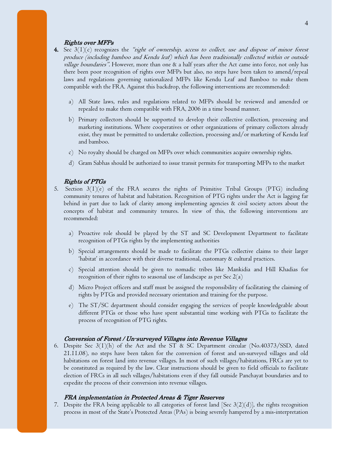# Rights over MFPs

- 4. Sec  $3(1)(c)$  recognizes the "right of ownership, access to collect, use and dispose of minor forest produce (including bamboo and Kendu leaf) which has been traditionally collected within or outside village boundaries". However, more than one & a half years after the Act came into force, not only has there been poor recognition of rights over MFPs but also, no steps have been taken to amend/repeal laws and regulations governing nationalized MFPs like Kendu Leaf and Bamboo to make them compatible with the FRA. Against this backdrop, the following interventions are recommended:
	- a) All State laws, rules and regulations related to MFPs should be reviewed and amended or repealed to make them compatible with FRA, 2006 in a time bound manner.
	- b) Primary collectors should be supported to develop their collective collection, processing and marketing institutions. Where cooperatives or other organizations of primary collectors already exist, they must be permitted to undertake collection, processing and/or marketing of Kendu leaf and bamboo.
	- c) No royalty should be charged on MFPs over which communities acquire ownership rights.
	- d) Gram Sabhas should be authorized to issue transit permits for transporting MFPs to the market

# Rights of PTGs

- 5. Section  $3(1)(e)$  of the FRA secures the rights of Primitive Tribal Groups (PTG) including community tenures of habitat and habitation. Recognition of PTG rights under the Act is lagging far behind in part due to lack of clarity among implementing agencies & civil society actors about the concepts of habitat and community tenures. In view of this, the following interventions are recommended:
	- a) Proactive role should be played by the ST and SC Development Department to facilitate recognition of PTGs rights by the implementing authorities
	- b) Special arrangements should be made to facilitate the PTGs collective claims to their larger 'habitat' in accordance with their diverse traditional, customary & cultural practices.
	- c) Special attention should be given to nomadic tribes like Mankidia and Hill Khadias for recognition of their rights to seasonal use of landscape as per Sec  $2(a)$
	- d) Micro Project officers and staff must be assigned the responsibility of facilitating the claiming of rights by PTGs and provided necessary orientation and training for the purpose.
	- e) The ST/SC department should consider engaging the services of people knowledgeable about different PTGs or those who have spent substantial time working with PTGs to facilitate the process of recognition of PTG rights.

# Conversion of Forest / Un-surveyed Villages into Revenue Villages

6. Despite Sec 3(1)(h) of the Act and the ST & SC Department circular (No.40373/SSD, dated 21.11.08), no steps have been taken for the conversion of forest and un-surveyed villages and old habitations on forest land into revenue villages. In most of such villages/habitations, FRCs are yet to be constituted as required by the law. Clear instructions should be given to field officials to facilitate election of FRCs in all such villages/habitations even if they fall outside Panchayat boundaries and to expedite the process of their conversion into revenue villages.

## FRA implementation in Protected Areas & Tiger Reserves

7. Despite the FRA being applicable to all categories of forest land [Sec  $3(2)(d)$ ], the rights recognition process in most of the State's Protected Areas (PAs) is being severely hampered by a mis-interpretation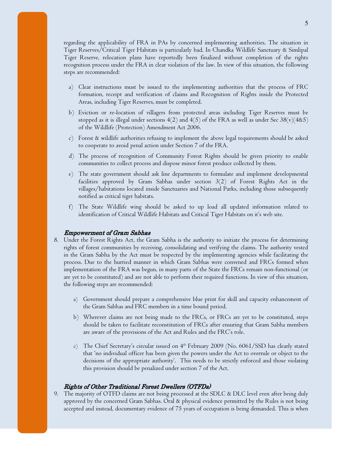regarding the applicability of FRA in PAs by concerned implementing authorities. The situation in Tiger Reserves/Critical Tiger Habitats is particularly bad. In Chandka Wildlife Sanctuary & Simlipal Tiger Reserve, relocation plans have reportedly been finalized without completion of the rights recognition process under the FRA in clear violation of the law. In view of this situation, the following steps are recommended:

- a) Clear instructions must be issued to the implementing authorities that the process of FRC formation, receipt and verification of claims and Recognition of Rights inside the Protected Areas, including Tiger Reserves, must be completed.
- b) Eviction or re-location of villagers from protected areas including Tiger Reserves must be stopped as it is illegal under sections  $4(2)$  and  $4(5)$  of the FRA as well as under Sec  $38(v)(485)$ of the Wildlife (Protection) Amendment Act 2006.
- c) Forest & wildlife authorities refusing to implement the above legal requirements should be asked to cooperate to avoid penal action under Section 7 of the FRA.
- d) The process of recognition of Community Forest Rights should be given priority to enable communities to collect process and dispose minor forest produce collected by them.
- e) The state government should ask line departments to formulate and implement developmental facilities approved by Gram Sabhas under section 3(2) of Forest Rights Act in the villages/habitations located inside Sanctuaries and National Parks, including those subsequently notified as critical tiger habitats.
- f) The State Wildlife wing should be asked to up load all updated information related to identification of Critical Wildlife Habitats and Critical Tiger Habitats on it's web site.

# **Empowerment of Gram Sabhas**

- 8. Under the Forest Rights Act, the Gram Sabha is the authority to initiate the process for determining rights of forest communities by receiving, consolidating and verifying the claims. The authority vested in the Gram Sabha by the Act must be respected by the implementing agencies while facilitating the process. Due to the hurried manner in which Gram Sabhas were convened and FRCs formed when implementation of the FRA was begun, in many parts of the State the FRCs remain non-functional (or are yet to be constituted) and are not able to perform their required functions. In view of this situation, the following steps are recommended:
	- a) Government should prepare a comprehensive blue print for skill and capacity enhancement of the Gram Sabhas and FRC members in a time bound period.
	- b) Wherever claims are not being made to the FRCs, or FRCs are yet to be constituted, steps should be taken to facilitate reconstitution of FRCs after ensuring that Gram Sabha members are aware of the provisions of the Act and Rules and the FRC's role.
	- c) The Chief Secretary's circular issued on  $4<sup>th</sup>$  February 2009 (No. 6061/SSD has clearly stated that 'no individual officer has been given the powers under the Act to overrule or object to the decisions of the appropriate authority'. This needs to be strictly enforced and those violating this provision should be penalized under section 7 of the Act.

# Rights of Other Traditional Forest Dwellers (OTFDs)

9. The majority of OTFD claims are not being processed at the SDLC & DLC level even after being duly approved by the concerned Gram Sabhas. Oral & physical evidence permitted by the Rules is not being accepted and instead, documentary evidence of 75 years of occupation is being demanded. This is when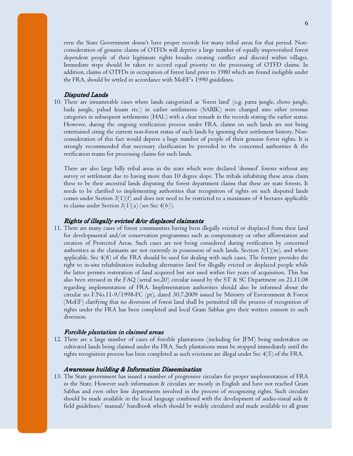even the State Government doesn't have proper records for many tribal areas for that period. Nonconsideration of genuine claims of OTFDs will deprive a large number of equally impoverished forest dependent people of their legitimate rights besides creating conflict and discord within villages. Immediate steps should be taken to accord equal priority to the processing of OTFD claims. In addition, claims of OTFDs in occupation of forest land prior to 1980 which are found ineligible under the FRA, should be settled in accordance with MoEF's 1990 guidelines.

# Disputed Lands

10. There are innumerable cases where lands categorized as 'forest land' (e.g. patra jungle, choto jungle, bada jungle, pahad kisam etc.) in earlier settlements (SABIK) were changed into other revenue categories in subsequent settlements (HAL) with a clear remark in the records stating the earlier status. However, during the ongoing verification process under FRA, claims on such lands are not being entertained citing the current non-forest status of such lands by ignoring their settlement history. Nonconsideration of this fact would deprive a huge number of people of their genuine forest rights. It is strongly recommended that necessary clarification be provided to the concerned authorities & the verification teams for processing claims for such lands.

There are also large hilly tribal areas in the state which were declared 'deemed' forests without any survey or settlement due to having more than 10 degree slope. The tribals inhabiting these areas claim these to be their ancestral lands disputing the forest department claims that these are state forests. It needs to be clarified to implementing authorities that recognition of rights on such disputed lands comes under Section  $3(1)(f)$  and does not need to be restricted to a maximum of 4 hectares applicable to claims under Section  $3(1)(a)$  (see Sec 4(6)).

# Rights of illegally evicted &/or displaced claimants

11. There are many cases of forest communities having been illegally evicted or displaced from their land for developmental and/or conservation programmes such as compensatory or other afforestation and creation of Protected Areas. Such cases are not being considered during verification by concerned authorities as the claimants are not currently in possession of such lands. Section  $3(1)(m)$ , and where applicable, Sec 4(8) of the FRA should be used for dealing with such cases. The former provides the right to in-situ rehabilitation including alternative land for illegally evicted or displaced people while the latter permits restoration of land acquired but not used within five years of acquisition. This has also been stressed in the FAQ (serial no.20) circular issued by the ST & SC Department on 21.11.08 regarding implementation of FRA. Implementation authorities should also be informed about the circular no F.No.11-9/1998-FC (pt), dated 30.7.2009 issued by Ministry of Environment & Forest (MoEF) clarifying that no diversion of forest land shall be permitted till the process of recognition of rights under the FRA has been completed and local Gram Sabhas give their written consent to such diversion.

## Forcible plantation in claimed areas

12. There are a large number of cases of forcible plantations (including for JFM) being undertaken on cultivated lands being claimed under the FRA. Such plantations must be stopped immediately until the rights recognition process has been completed as such evictions are illegal under Sec 4(5) of the FRA.

# Awareness building & Information Dissemination

13. The State government has issued a number of progressive circulars for proper implementation of FRA in the State. However such information & circulars are mostly in English and have not reached Gram Sabhas and even other line departments involved in the process of recognizing rights. Such circulars should be made available in the local language combined with the development of audio-visual aids & field guidelines/ manual/ handbook which should be widely circulated and made available to all gram